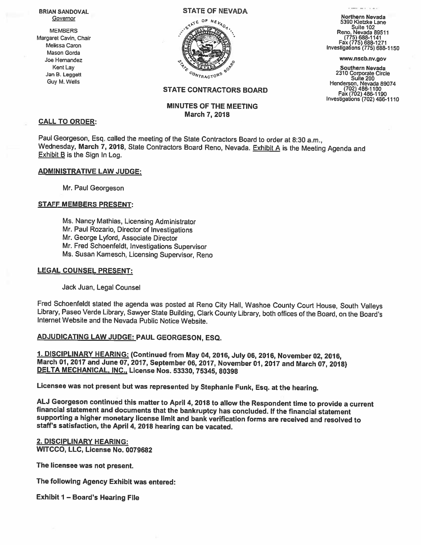#### **BRIAN SANDOVAL** Governor

#### STATE OF NEVADA **EXAMPLE STATE OF NEVADA**



- **1990** 

Jan B. Leggett 2310 Corporate Circle  $c_{O_{N_{FRACTOR}}}}$ <sup>6</sup><br>Jan B. Leggett Suite 200<br>Guy M. Wells Henderson, Nevada 8907 (702) 486-1100 Fax (702) 486-1190 Investigations (702) 486-1110

# STATE CONTRACTORS BOARD

# MINUTES OF THE MEETING March 7, 2018

#### CALL TO ORDER:

Paul Georgeson, Esq. called the meeting of the State Contractors Board to order at 8:30 a.m.,<br>Wednesday, March 7, 2018, State Contractors Board Reno, Nevada, Exhibit A is the Meeting Agenda and<br>Exhibit B is the Sign In Log

#### ADMINISTRATIVE LAW JUDGE:

Mr. Paul Georgeson

#### STAFF MEMBERS PRESENT:

- Ms. Nancy Mathias, Licensing Administrator
- Mr. Paul Rozario, Director of Investigations
- Mr. George Lyford, Associate Director
- Mr. Fred Schoenfeldt, Investigations Supervisor
- Ms. Susan Kamesch, Licensing Supervisor, Reno

### LEGAL COUNSEL PRESENT:

Jack Juan, Legal Counsel

Fred Schoenfeldt stated the agenda was posted at Reno City Hall, Washoe County Court House, South Valleys Library, Paseo Verde Library, Sawyer State Building, Clark County Library, both offices of the Board, on the Board's Internet Website and the Nevada Public Notice Website.

# ADJUDICATING LAW JUDGE: PAUL GEORGESON, ESQ.

1. DISCIPLINARY HEARING: (Continued from May 04, 2016, July 06, 2016, November 02, 2016, March 01, 2017 and June 07, 2017, September 06, 2017, November 01, 2017 and March 07, 2018)<br>DELTA MECHANICAL, INC., License Nos. 5333

Licensee was not present but was represented by Stephanie Funk, Esq. at the hearing.

ALJ Georgeson continued this matter to April 4, 2018 to allow the Respondent time to provide a current<br>financial statement and documents that the bankruptcy has concluded. If the financial statement<br>supporting a higher mon staff's satisfaction, the April 4, 2018 hearing can be vacated.

#### 2. DISCIPLINARY HEARING: WITCCO, LLC, License No. 0079682

The licensee was not present.

The following Agency Exhibit was entered:

Exhibit <sup>I</sup> — Board's Hearing File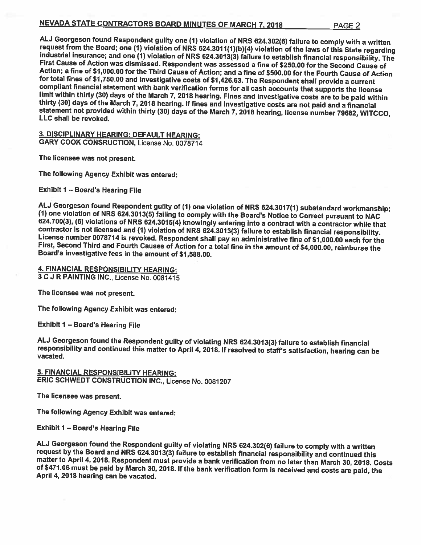# NEVADA STATE CONTRACTORS BOARD MINUTES OF MARCH 7, 2018 PAGE 2

ALJ Georgeson found Respondent guilty one (1) violation of NRS 624.302(6) failure to comply with a written<br>request from the Board; one (1) violation of NRS 624.3011(1)(b)(4) violation of the laws of this State regarding<br>i limit within thirty (30) days of the March 7, 2018 hearing. Fines and investigative costs are to be paid within<br>thirty (30) days of the March 7, 2018 hearing. If fines and investigative costs are not paid and a financial<br>s

3. DISCIPLINARY HEARING: DEFAULT HEARING; GARY COOK CONSRUCTION, License No. 0078714

The licensee was not present.

The following Agency Exhibit was entered:

Exhibit <sup>I</sup> — Board's Hearing File

ALJ Georgeson found Respondent guilty of (1) one violation of NRS 624.3017(1) substandard workmanship;<br>(1) one violation of NRS 624.3013(5) failing to comply with the Board's Notice to Correct pursuant to NAC<br>624.700(3), ( License number 0078714 is revoked. Respondent shall pay an administrative fine of \$1,000.00 each for the<br>First, Second Third and Fourth Causes of Action for a total fine in the amount of \$4,000.00, reimburse the<br>Board's in

4. FINANCIAL RESPONSIBILITY HEARING: 3 C.) R PAINTING INC., License No. 0081415

The licensee was not present.

The following Agency Exhibit was entered:

Exhibit <sup>I</sup> — Board's Hearing File

AL.) Georgeson found the Respondent guilty of violating NRS 624.3013(3) failure to establish financial responsibility and continued this matter to April 4,2018. If resolved to staffs satisfaction, hearing can be vacated.

5. FINANCIAL RESPONSIBILITY HEARING: ERIC SCHWEDT CONSTRUCTION INC., License No. 0081207

The licensee was present.

The following Agency Exhibit was entered;

Exhibit <sup>I</sup> — Board's Hearing File

ALJ Georgeson found the Respondent guilty of violating NRS 624.302(6) failure to comply with a written<br>request by the Board and NRS 624.3013(3) failure to establish financial responsibility and continued this<br>matter to Apr